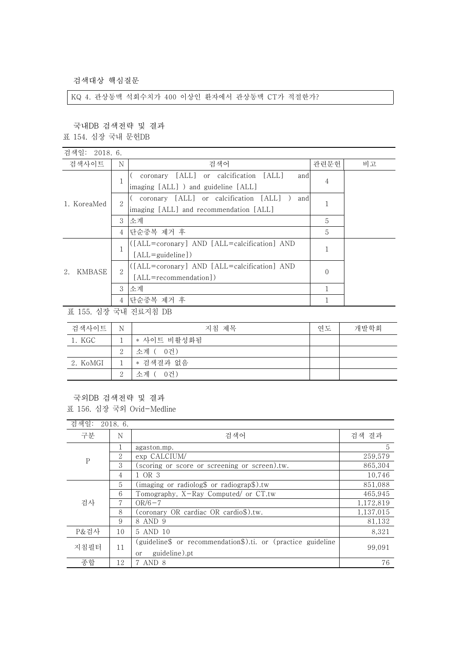검색대상 핵심질문

KQ 4. 관상동맥 석회수치가 400 이상인 환자에서 관상동맥 CT가 적절한가?

국내DB 검색전략 및 결과

표 154. 심장 국내 문헌DB

| 검색일: 2018.6. |                |                                                      |              |    |
|--------------|----------------|------------------------------------------------------|--------------|----|
| 검색사이트        | N              | 검색어                                                  | 관련문헌         | 비고 |
| 1. KoreaMed  |                | [ALL] or calcification<br>1 ALL 1<br>and<br>coronary | 4            |    |
|              |                | imaging [ALL] ) and guideline [ALL]                  |              |    |
|              | 2              | coronary [ALL] or calcification [ALL]<br>and         |              |    |
|              |                | imaging [ALL] and recommendation [ALL]               |              |    |
|              | 3              | 소계                                                   | 5            |    |
|              | 4              | 단순중복 제거 후                                            | 5            |    |
| KMBASE<br>2. |                | ([ALL=coronary] AND [ALL=calcification] AND          |              |    |
|              |                | $[ALL = \{quideline\})$                              |              |    |
|              | $\overline{2}$ | ([ALL=coronary] AND [ALL=calcification] AND          | $\mathbf{0}$ |    |
|              |                | [ALL=recommendation])                                |              |    |
|              | 3              | 소계                                                   |              |    |
|              | 4              | 단순중복 제거 후                                            |              |    |

표 155. 심장 국내 진료지침 DB

| 검색사이트    | N             | 지침 제목       | 연도 | 개발학회 |
|----------|---------------|-------------|----|------|
| 1. KGC   |               | * 사이트 비활성화됨 |    |      |
|          | $\Omega$<br>↩ | 소계 ( 0건)    |    |      |
| 2. KoMGI |               | * 검색결과 없음   |    |      |
|          | $\Omega$<br>↵ | 소계 (<br>0건) |    |      |

## 국외DB 검색전략 및 결과

표 156. 심장 국외 Ovid-Medline

| 검색일:        |  | 2018.6.        |                                                              |           |
|-------------|--|----------------|--------------------------------------------------------------|-----------|
| 구분          |  | N              | 검색어                                                          | 검색 결과     |
| $\mathbf P$ |  |                | agaston.mp.                                                  | 5         |
|             |  | $\overline{2}$ | exp CALCIUM/                                                 | 259,579   |
|             |  | 3              | (scoring or score or screening or screen).tw.                | 865.304   |
|             |  | 4              | 1 OR 3                                                       | 10,746    |
| 검사          |  | 5.             | (imaging or radiolog\$ or radiograp\$).tw                    | 851,088   |
|             |  | 6              | Tomography, X-Ray Computed/ or CT.tw                         | 465,945   |
|             |  | 7              | $OR/6-7$                                                     | 1,172,819 |
|             |  | 8              | (coronary OR cardiac OR cardio\$).tw.                        | 1,137,015 |
|             |  | 9              | 8 AND 9                                                      | 81,132    |
| P&검사        |  | 10             | 5 AND 10                                                     | 8,321     |
| 지침필터        |  | 11             | (guideline\$ or recommendation\$).ti. or (practice guideline | 99.091    |
|             |  |                | guideline).pt<br>or                                          |           |
| 종합          |  | 12             | 7 AND 8                                                      | 76        |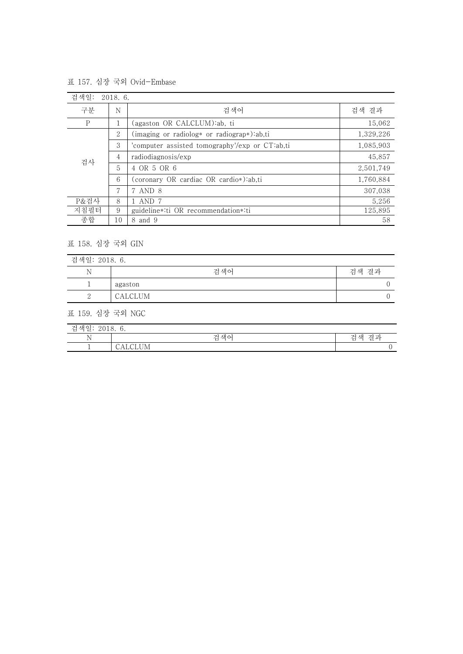표 157. 심장 국외 Ovid-Embase

| 검색일: | 2018.6. |                                                |           |
|------|---------|------------------------------------------------|-----------|
| 구분   | N       | 검색어                                            | 검색 결과     |
| P    |         | (agaston OR CALCLUM):ab, ti                    | 15,062    |
| 검사   | 2       | (imaging or radiolog* or radiograp*):ab,ti     | 1,329,226 |
|      | 3       | 'computer assisted tomography'/exp or CT:ab,ti | 1,085,903 |
|      | 4       | radiodiagnosis/exp                             | 45,857    |
|      | 5       | 4 OR 5 OR 6                                    | 2,501,749 |
|      | 6       | (coronary OR cardiac OR cardio*):ab.ti         | 1,760,884 |
|      | 7       | 7 AND 8                                        | 307,038   |
| P&검사 | 8       | l AND 7                                        | 5,256     |
| 지침필터 | 9       | guideline*:ti OR recommendation*:ti            | 125,895   |
| 종합   | 10      | 8 and 9                                        | 58        |

## 표 158. 심장 국외 GIN

| 검색일: 2018. 6. |         |       |
|---------------|---------|-------|
| N             | 검색어     | 검색 결과 |
|               | agaston |       |
| ↵             | CALCLUM |       |

 $\overline{\phantom{a}}$ 

표 159. 심장 국외 NGC

| 재이<br>$\sim$<br>71<br>뒫<br>Έ<br>ت<br>2010. T<br>$\cup$ . |               |                                 |  |
|----------------------------------------------------------|---------------|---------------------------------|--|
| $\mathbf{v}$<br><b>TA</b>                                | 색어<br>zi<br>ά | -71<br>⊸<br>색<br>וה י<br>셜<br>石 |  |
|                                                          | $- - -$       |                                 |  |